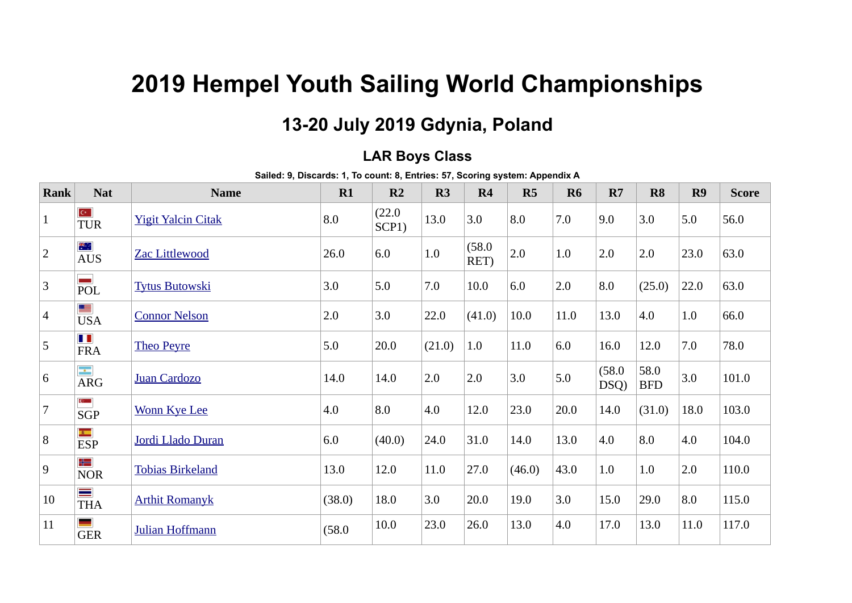## **2019 Hempel Youth Sailing World Championships**

## **13-20 July 2019 Gdynia, Poland**

## **LAR Boys Class**

**Sailed: 9, Discards: 1, To count: 8, Entries: 57, Scoring system: Appendix A**

| <b>Rank</b>     | <b>Nat</b>                               | <b>Name</b>               | R1        | R2              | R3     | R4             | R5     | <b>R6</b> | R7                 | R8                 | R9   | <b>Score</b> |
|-----------------|------------------------------------------|---------------------------|-----------|-----------------|--------|----------------|--------|-----------|--------------------|--------------------|------|--------------|
| $\mathbf{1}$    | $\mathbf{C}^{\star}$<br><b>TUR</b>       | <b>Yigit Yalcin Citak</b> | $\rm 8.0$ | (22.0)<br>SCP1) | 13.0   | 3.0            | 8.0    | 7.0       | 9.0                | 3.0                | 5.0  | 56.0         |
| $ 2\rangle$     | $\mathcal{R}_{\text{max}}$<br><b>AUS</b> | <b>Zac Littlewood</b>     | 26.0      | 6.0             | 1.0    | (58.0)<br>RET) | 2.0    | 1.0       | 2.0                | 2.0                | 23.0 | 63.0         |
| $\mathbf{3}$    | <b>CONTRACT</b><br>POL                   | <b>Tytus Butowski</b>     | 3.0       | 5.0             | 7.0    | 10.0           | 6.0    | 2.0       | $\boldsymbol{8.0}$ | (25.0)             | 22.0 | 63.0         |
| $\overline{4}$  | 三<br><b>USA</b>                          | <b>Connor Nelson</b>      | 2.0       | 3.0             | 22.0   | (41.0)         | 10.0   | 11.0      | 13.0               | 4.0                | 1.0  | 66.0         |
| 5               | $\blacksquare$<br><b>FRA</b>             | <b>Theo Peyre</b>         | 5.0       | 20.0            | (21.0) | 1.0            | $11.0$ | 6.0       | 16.0               | 12.0               | 7.0  | 78.0         |
| $6\overline{6}$ | me in<br><b>ARG</b>                      | Juan Cardozo              | 14.0      | 14.0            | 2.0    | 2.0            | 3.0    | 5.0       | (58.0)<br>DSQ)     | 58.0<br><b>BFD</b> | 3.0  | 101.0        |
| 7               | $C_{\ell}$<br><b>SGP</b>                 | <b>Wonn Kye Lee</b>       | 4.0       | 8.0             | 4.0    | 12.0           | 23.0   | 20.0      | 14.0               | (31.0)             | 18.0 | 103.0        |
| 8               | $\mathbf{R}$<br><b>ESP</b>               | Jordi Llado Duran         | 6.0       | (40.0)          | 24.0   | 31.0           | 14.0   | 13.0      | 4.0                | 8.0                | 4.0  | 104.0        |
| 9               | 2122<br><b>NOR</b>                       | <b>Tobias Birkeland</b>   | 13.0      | 12.0            | 11.0   | 27.0           | (46.0) | 43.0      | 1.0                | 1.0                | 2.0  | 110.0        |
| 10              | $\equiv$<br><b>THA</b>                   | <b>Arthit Romanyk</b>     | (38.0)    | 18.0            | 3.0    | 20.0           | 19.0   | 3.0       | 15.0               | 29.0               | 8.0  | 115.0        |
| 11              | $\equiv$<br><b>GER</b>                   | Julian Hoffmann           | (58.0)    | 10.0            | 23.0   | 26.0           | 13.0   | 4.0       | 17.0               | 13.0               | 11.0 | 117.0        |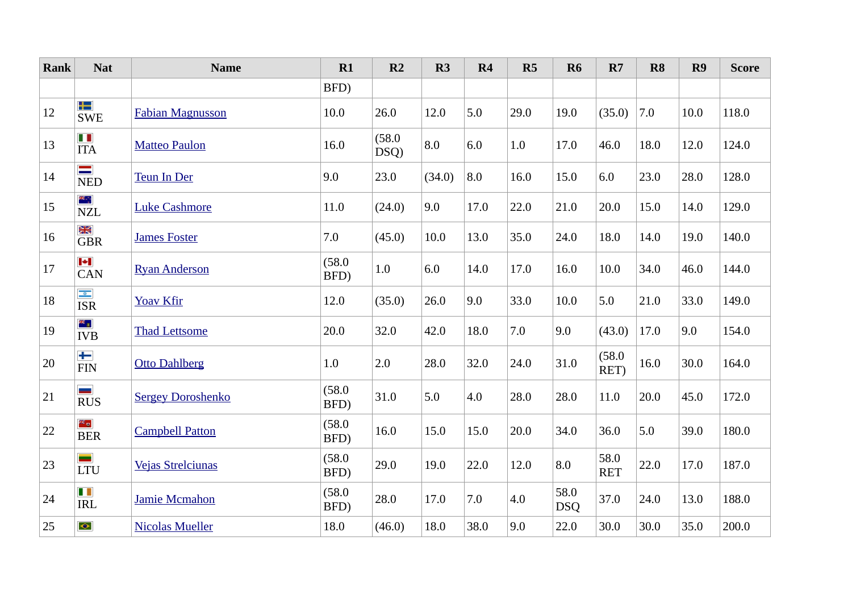| <b>Rank</b> | <b>Nat</b>                                                 | <b>Name</b>              | R1             | R2             | R3     | R4   | R5   | R6                 | R7                 | R8   | R <sub>9</sub> | <b>Score</b> |
|-------------|------------------------------------------------------------|--------------------------|----------------|----------------|--------|------|------|--------------------|--------------------|------|----------------|--------------|
|             |                                                            |                          | BFD)           |                |        |      |      |                    |                    |      |                |              |
| 12          | $+$<br><b>SWE</b>                                          | <b>Fabian Magnusson</b>  | 10.0           | 26.0           | 12.0   | 5.0  | 29.0 | 19.0               | (35.0)             | 7.0  | 10.0           | 118.0        |
| 13          | $\blacksquare$<br><b>ITA</b>                               | <b>Matteo Paulon</b>     | 16.0           | (58.0)<br>DSQ) | 8.0    | 6.0  | 1.0  | 17.0               | 46.0               | 18.0 | 12.0           | 124.0        |
| 14          | $\overline{\phantom{a}}$<br>NED                            | Teun In Der              | 9.0            | 23.0           | (34.0) | 8.0  | 16.0 | 15.0               | 6.0                | 23.0 | 28.0           | 128.0        |
| 15          | **∴<br>NZL                                                 | <b>Luke Cashmore</b>     | 11.0           | (24.0)         | 9.0    | 17.0 | 22.0 | 21.0               | 20.0               | 15.0 | 14.0           | 129.0        |
| 16          | ăk<br><b>GBR</b>                                           | <b>James Foster</b>      | 7.0            | (45.0)         | 10.0   | 13.0 | 35.0 | 24.0               | 18.0               | 14.0 | 19.0           | 140.0        |
| 17          | $\left\vert \bullet\right\vert$<br>$\overline{\text{CAN}}$ | <b>Ryan Anderson</b>     | (58.0)<br>BFD) | 1.0            | 6.0    | 14.0 | 17.0 | 16.0               | 10.0               | 34.0 | 46.0           | 144.0        |
| 18          | $\langle \bullet \rangle$<br><b>ISR</b>                    | <b>Yoav Kfir</b>         | 12.0           | (35.0)         | 26.0   | 9.0  | 33.0 | 10.0               | 5.0                | 21.0 | 33.0           | 149.0        |
| 19          | ⋇⊥<br><b>IVB</b>                                           | <b>Thad Lettsome</b>     | 20.0           | 32.0           | 42.0   | 18.0 | 7.0  | 9.0                | (43.0)             | 17.0 | 9.0            | 154.0        |
| 20          | $+$<br><b>FIN</b>                                          | <b>Otto Dahlberg</b>     | $1.0\,$        | 2.0            | 28.0   | 32.0 | 24.0 | 31.0               | (58.0)<br>RET)     | 16.0 | 30.0           | 164.0        |
| 21          | <b>RUS</b>                                                 | <b>Sergey Doroshenko</b> | (58.0)<br>BFD) | 31.0           | 5.0    | 4.0  | 28.0 | 28.0               | 11.0               | 20.0 | 45.0           | 172.0        |
| 22          | ≥≼ o<br><b>BER</b>                                         | <b>Campbell Patton</b>   | (58.0)<br>BFD) | 16.0           | 15.0   | 15.0 | 20.0 | 34.0               | 36.0               | 5.0  | 39.0           | 180.0        |
| 23          | $\overline{\phantom{a}}$<br>LTU                            | <b>Vejas Strelciunas</b> | (58.0)<br>BFD) | 29.0           | 19.0   | 22.0 | 12.0 | 0.8                | 58.0<br><b>RET</b> | 22.0 | 17.0           | 187.0        |
| 24          | $\blacksquare$<br><b>IRL</b>                               | Jamie Mcmahon            | (58.0)<br>BFD) | 28.0           | 17.0   | 7.0  | 4.0  | 58.0<br><b>DSQ</b> | 37.0               | 24.0 | 13.0           | 188.0        |
| 25          | $\bullet$                                                  | <b>Nicolas Mueller</b>   | 18.0           | (46.0)         | 18.0   | 38.0 | 9.0  | 22.0               | 30.0               | 30.0 | 35.0           | 200.0        |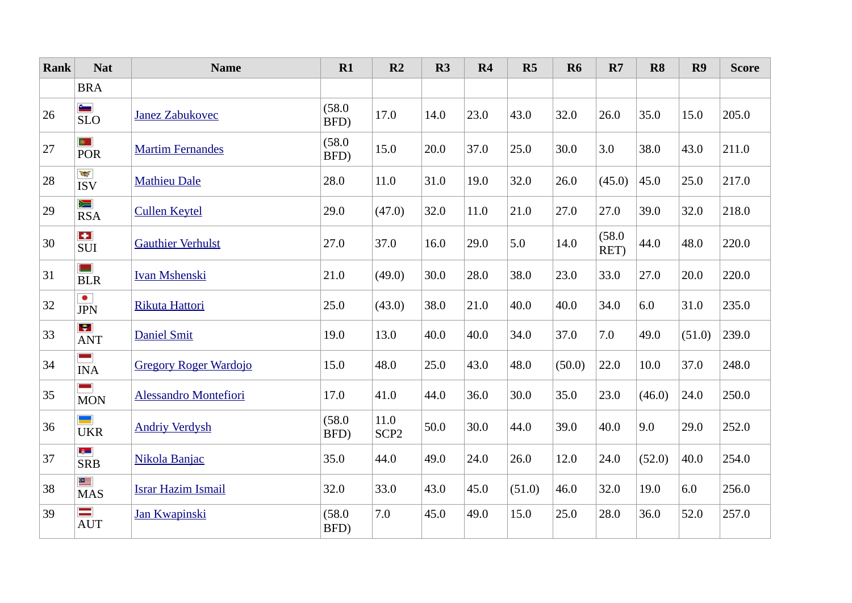| <b>Rank</b> | <b>Nat</b>                                             | <b>Name</b>                  | R1             | R2                       | R3   | R4   | R5     | R6     | R7             | R8     | R9     | <b>Score</b> |
|-------------|--------------------------------------------------------|------------------------------|----------------|--------------------------|------|------|--------|--------|----------------|--------|--------|--------------|
|             | <b>BRA</b>                                             |                              |                |                          |      |      |        |        |                |        |        |              |
| 26          | $\sim$<br><b>SLO</b>                                   | Janez Zabukovec              | (58.0)<br>BFD) | 17.0                     | 14.0 | 23.0 | 43.0   | 32.0   | 26.0           | 35.0   | 15.0   | 205.0        |
| 27          | $\bullet$<br><b>POR</b>                                | <b>Martim Fernandes</b>      | (58.0)<br>BFD) | 15.0                     | 20.0 | 37.0 | 25.0   | 30.0   | 3.0            | 38.0   | 43.0   | 211.0        |
| 28          | $\frac{1}{2}$<br><b>ISV</b>                            | <b>Mathieu Dale</b>          | 28.0           | $11.0$                   | 31.0 | 19.0 | 32.0   | 26.0   | (45.0)         | 45.0   | 25.0   | 217.0        |
| 29          | Ň<br><b>RSA</b>                                        | <b>Cullen Keytel</b>         | 29.0           | (47.0)                   | 32.0 | 11.0 | 21.0   | 27.0   | 27.0           | 39.0   | 32.0   | 218.0        |
| 30          | $\blacktriangleleft$<br>SUI                            | <b>Gauthier Verhulst</b>     | 27.0           | 37.0                     | 16.0 | 29.0 | 5.0    | 14.0   | (58.0)<br>RET) | 44.0   | 48.0   | 220.0        |
| 31          | <b>Maria</b><br><b>BLR</b>                             | <b>Ivan Mshenski</b>         | 21.0           | (49.0)                   | 30.0 | 28.0 | 38.0   | 23.0   | 33.0           | 27.0   | 20.0   | 220.0        |
| 32          | $\bullet$<br><b>JPN</b>                                | <b>Rikuta Hattori</b>        | 25.0           | (43.0)                   | 38.0 | 21.0 | 40.0   | 40.0   | 34.0           | 6.0    | 31.0   | 235.0        |
| 33          | iç.<br><b>ANT</b>                                      | <b>Daniel Smit</b>           | 19.0           | 13.0                     | 40.0 | 40.0 | 34.0   | 37.0   | 7.0            | 49.0   | (51.0) | 239.0        |
| 34          | $\mathcal{L}_{\mathcal{A}}$<br>$\overline{\text{INA}}$ | <b>Gregory Roger Wardojo</b> | 15.0           | 48.0                     | 25.0 | 43.0 | 48.0   | (50.0) | 22.0           | 10.0   | 37.0   | 248.0        |
| 35          | $\overline{\phantom{a}}$<br><b>MON</b>                 | <b>Alessandro Montefiori</b> | 17.0           | 41.0                     | 44.0 | 36.0 | 30.0   | 35.0   | 23.0           | (46.0) | 24.0   | 250.0        |
| 36          | <b>UKR</b>                                             | <b>Andriy Verdysh</b>        | (58.0)<br>BFD) | 11.0<br>SCP <sub>2</sub> | 50.0 | 30.0 | 44.0   | 39.0   | 40.0           | 9.0    | 29.0   | 252.0        |
| 37          | $-5$<br><b>SRB</b>                                     | Nikola Banjac                | 35.0           | 44.0                     | 49.0 | 24.0 | 26.0   | 12.0   | 24.0           | (52.0) | 40.0   | 254.0        |
| 38          | $rac{1}{\sqrt{2}}$<br><b>MAS</b>                       | <b>Israr Hazim Ismail</b>    | 32.0           | 33.0                     | 43.0 | 45.0 | (51.0) | 46.0   | 32.0           | 19.0   | 6.0    | 256.0        |
| 39          | $=$<br><b>AUT</b>                                      | Jan Kwapinski                | (58.0)<br>BFD) | 7.0                      | 45.0 | 49.0 | 15.0   | 25.0   | 28.0           | 36.0   | 52.0   | 257.0        |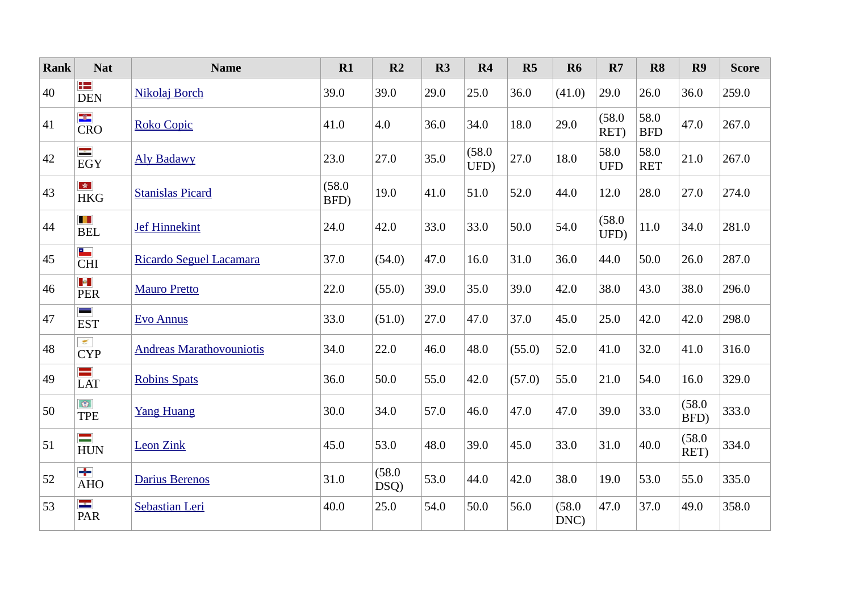| <b>Rank</b> | <b>Nat</b>                              | <b>Name</b>                     | R1             | R2             | R3   | R4             | R5     | R6             | R7                 | R8                 | R <sub>9</sub> | <b>Score</b> |
|-------------|-----------------------------------------|---------------------------------|----------------|----------------|------|----------------|--------|----------------|--------------------|--------------------|----------------|--------------|
| 40          | 43<br><b>DEN</b>                        | Nikolaj Borch                   | 39.0           | 39.0           | 29.0 | 25.0           | 36.0   | (41.0)         | 29.0               | 26.0               | 36.0           | 259.0        |
| 41          | CRO                                     | <b>Roko Copic</b>               | 41.0           | 4.0            | 36.0 | 34.0           | 18.0   | 29.0           | (58.0)<br>RET)     | 58.0<br><b>BFD</b> | 47.0           | 267.0        |
| 42          | $\overline{\phantom{a}}$<br><b>EGY</b>  | <b>Aly Badawy</b>               | 23.0           | 27.0           | 35.0 | (58.0)<br>UFD) | 27.0   | 18.0           | 58.0<br><b>UFD</b> | 58.0<br><b>RET</b> | 21.0           | 267.0        |
| 43          | 女<br><b>HKG</b>                         | <b>Stanislas Picard</b>         | (58.0)<br>BFD) | 19.0           | 41.0 | 51.0           | 52.0   | 44.0           | 12.0               | 28.0               | 27.0           | 274.0        |
| 44          | $\blacksquare$<br><b>BEL</b>            | <b>Jef Hinnekint</b>            | 24.0           | 42.0           | 33.0 | 33.0           | 50.0   | 54.0           | (58.0)<br>UFD)     | $11.0\,$           | 34.0           | 281.0        |
| 45          | $\mathbf{a}_{\mathbf{m}}$<br><b>CHI</b> | Ricardo Seguel Lacamara         | 37.0           | (54.0)         | 47.0 | 16.0           | 31.0   | 36.0           | 44.0               | 50.0               | 26.0           | 287.0        |
| 46          | $\mathbb{R}^d$<br><b>PER</b>            | <b>Mauro Pretto</b>             | 22.0           | (55.0)         | 39.0 | 35.0           | 39.0   | 42.0           | 38.0               | 43.0               | 38.0           | 296.0        |
| 47          | $\equiv$<br><b>EST</b>                  | <b>Evo Annus</b>                | 33.0           | (51.0)         | 27.0 | 47.0           | 37.0   | 45.0           | 25.0               | 42.0               | 42.0           | 298.0        |
| 48          | $\epsilon$<br><b>CYP</b>                | <b>Andreas Marathovouniotis</b> | 34.0           | 22.0           | 46.0 | 48.0           | (55.0) | 52.0           | 41.0               | 32.0               | 41.0           | 316.0        |
| 49          | $\equiv$<br><b>LAT</b>                  | <b>Robins Spats</b>             | 36.0           | 50.0           | 55.0 | 42.0           | (57.0) | 55.0           | 21.0               | 54.0               | 16.0           | 329.0        |
| 50          | $\circ$<br><b>TPE</b>                   | <b>Yang Huang</b>               | 30.0           | 34.0           | 57.0 | 46.0           | 47.0   | 47.0           | 39.0               | 33.0               | (58.0)<br>BFD) | 333.0        |
| 51          | $\equiv$<br><b>HUN</b>                  | <b>Leon Zink</b>                | 45.0           | 53.0           | 48.0 | 39.0           | 45.0   | 33.0           | 31.0               | 40.0               | (58.0)<br>RET) | 334.0        |
| 52          | ÷<br><b>AHO</b>                         | <b>Darius Berenos</b>           | 31.0           | (58.0)<br>DSQ) | 53.0 | 44.0           | 42.0   | 38.0           | 19.0               | 53.0               | 55.0           | 335.0        |
| 53          | $\frac{1}{2}$<br><b>PAR</b>             | <b>Sebastian Leri</b>           | 40.0           | 25.0           | 54.0 | 50.0           | 56.0   | (58.0)<br>DNC) | 47.0               | 37.0               | 49.0           | 358.0        |